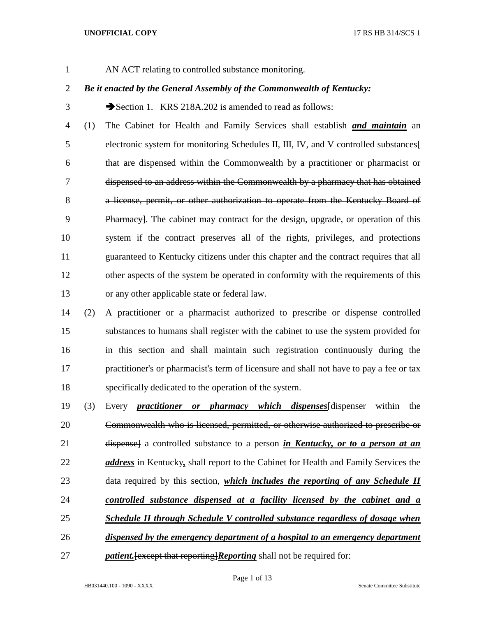AN ACT relating to controlled substance monitoring.

# *Be it enacted by the General Assembly of the Commonwealth of Kentucky:*

3 Section 1. KRS 218A.202 is amended to read as follows:

 (1) The Cabinet for Health and Family Services shall establish *and maintain* an electronic system for monitoring Schedules II, III, IV, and V controlled substances[ that are dispensed within the Commonwealth by a practitioner or pharmacist or dispensed to an address within the Commonwealth by a pharmacy that has obtained 8 a license, permit, or other authorization to operate from the Kentucky Board of Pharmacy]. The cabinet may contract for the design, upgrade, or operation of this system if the contract preserves all of the rights, privileges, and protections guaranteed to Kentucky citizens under this chapter and the contract requires that all 12 other aspects of the system be operated in conformity with the requirements of this or any other applicable state or federal law.

- (2) A practitioner or a pharmacist authorized to prescribe or dispense controlled substances to humans shall register with the cabinet to use the system provided for in this section and shall maintain such registration continuously during the practitioner's or pharmacist's term of licensure and shall not have to pay a fee or tax specifically dedicated to the operation of the system.
- (3) Every *practitioner or pharmacy which dispenses*[dispenser within the Commonwealth who is licensed, permitted, or otherwise authorized to prescribe or dispense] a controlled substance to a person *in Kentucky, or to a person at an address* in Kentucky*,* shall report to the Cabinet for Health and Family Services the data required by this section, *which includes the reporting of any Schedule II controlled substance dispensed at a facility licensed by the cabinet and a Schedule II through Schedule V controlled substance regardless of dosage when dispensed by the emergency department of a hospital to an emergency department*
- *patient*. Fexcept that reporting *Reporting* shall not be required for: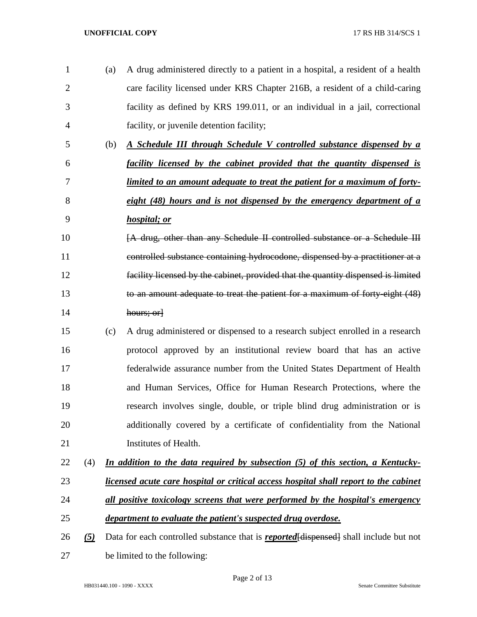(a) A drug administered directly to a patient in a hospital, a resident of a health care facility licensed under KRS Chapter 216B, a resident of a child-caring facility as defined by KRS 199.011, or an individual in a jail, correctional facility, or juvenile detention facility; (b) *A Schedule III through Schedule V controlled substance dispensed by a facility licensed by the cabinet provided that the quantity dispensed is limited to an amount adequate to treat the patient for a maximum of forty- eight (48) hours and is not dispensed by the emergency department of a hospital; or* **FA** drug, other than any Schedule II controlled substance or a Schedule III controlled substance containing hydrocodone, dispensed by a practitioner at a facility licensed by the cabinet, provided that the quantity dispensed is limited to an amount adequate to treat the patient for a maximum of forty-eight (48) 14 hours; or (c) A drug administered or dispensed to a research subject enrolled in a research protocol approved by an institutional review board that has an active federalwide assurance number from the United States Department of Health and Human Services, Office for Human Research Protections, where the research involves single, double, or triple blind drug administration or is additionally covered by a certificate of confidentiality from the National Institutes of Health. (4) *In addition to the data required by subsection (5) of this section, a Kentucky- licensed acute care hospital or critical access hospital shall report to the cabinet all positive toxicology screens that were performed by the hospital's emergency department to evaluate the patient's suspected drug overdose. (5)* Data for each controlled substance that is *reported*[dispensed] shall include but not be limited to the following: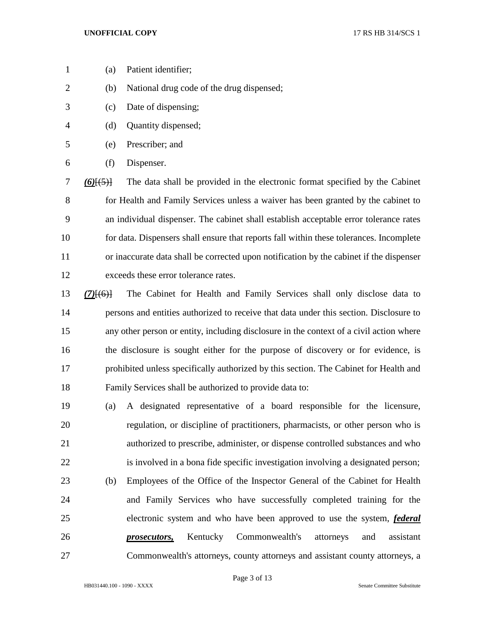- (a) Patient identifier;
- (b) National drug code of the drug dispensed;
- (c) Date of dispensing;
- (d) Quantity dispensed;
- (e) Prescriber; and
- (f) Dispenser.

 *(6)*[(5)] The data shall be provided in the electronic format specified by the Cabinet for Health and Family Services unless a waiver has been granted by the cabinet to an individual dispenser. The cabinet shall establish acceptable error tolerance rates for data. Dispensers shall ensure that reports fall within these tolerances. Incomplete or inaccurate data shall be corrected upon notification by the cabinet if the dispenser exceeds these error tolerance rates.

- *(7)*[(6)] The Cabinet for Health and Family Services shall only disclose data to persons and entities authorized to receive that data under this section. Disclosure to any other person or entity, including disclosure in the context of a civil action where the disclosure is sought either for the purpose of discovery or for evidence, is prohibited unless specifically authorized by this section. The Cabinet for Health and Family Services shall be authorized to provide data to:
- (a) A designated representative of a board responsible for the licensure, regulation, or discipline of practitioners, pharmacists, or other person who is authorized to prescribe, administer, or dispense controlled substances and who is involved in a bona fide specific investigation involving a designated person; (b) Employees of the Office of the Inspector General of the Cabinet for Health and Family Services who have successfully completed training for the electronic system and who have been approved to use the system, *federal prosecutors,* Kentucky Commonwealth's attorneys and assistant Commonwealth's attorneys, county attorneys and assistant county attorneys, a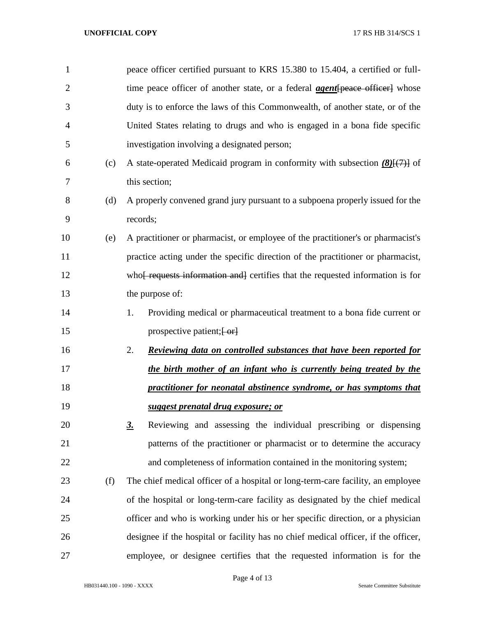| 1              |     | peace officer certified pursuant to KRS 15.380 to 15.404, a certified or full-            |
|----------------|-----|-------------------------------------------------------------------------------------------|
| $\overline{2}$ |     | time peace officer of another state, or a federal <b>agent</b> [peace officer] whose      |
| 3              |     | duty is to enforce the laws of this Commonwealth, of another state, or of the             |
| $\overline{4}$ |     | United States relating to drugs and who is engaged in a bona fide specific                |
| 5              |     | investigation involving a designated person;                                              |
| 6              | (c) | A state-operated Medicaid program in conformity with subsection $(8)(7)$ of               |
| 7              |     | this section;                                                                             |
| 8              | (d) | A properly convened grand jury pursuant to a subpoena properly issued for the             |
| 9              |     | records;                                                                                  |
| 10             | (e) | A practitioner or pharmacist, or employee of the practitioner's or pharmacist's           |
| 11             |     | practice acting under the specific direction of the practitioner or pharmacist,           |
| 12             |     | who <del>f requests information and</del> certifies that the requested information is for |
| 13             |     | the purpose of:                                                                           |
| 14             |     | Providing medical or pharmaceutical treatment to a bona fide current or<br>1.             |
| 15             |     | prospective patient; [-or]                                                                |
| 16             |     | 2.<br><u>Reviewing data on controlled substances that have been reported for</u>          |
| 17             |     | the birth mother of an infant who is currently being treated by the                       |
| 18             |     | practitioner for neonatal abstinence syndrome, or has symptoms that                       |
| 19             |     | suggest prenatal drug exposure; or                                                        |
| 20             |     | Reviewing and assessing the individual prescribing or dispensing<br>$\underline{3}$ .     |
| 21             |     | patterns of the practitioner or pharmacist or to determine the accuracy                   |
| 22             |     | and completeness of information contained in the monitoring system;                       |
| 23             | (f) | The chief medical officer of a hospital or long-term-care facility, an employee           |
| 24             |     | of the hospital or long-term-care facility as designated by the chief medical             |
| 25             |     | officer and who is working under his or her specific direction, or a physician            |
| 26             |     | designee if the hospital or facility has no chief medical officer, if the officer,        |
| 27             |     | employee, or designee certifies that the requested information is for the                 |

Page 4 of 13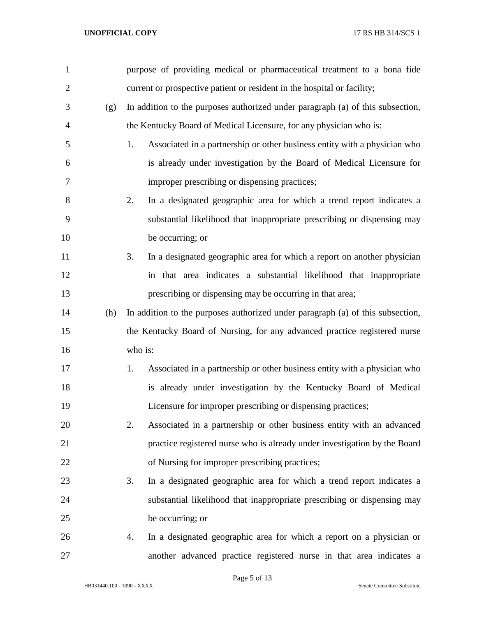| $\mathbf{1}$   |     | purpose of providing medical or pharmaceutical treatment to a bona fide         |
|----------------|-----|---------------------------------------------------------------------------------|
| $\overline{c}$ |     | current or prospective patient or resident in the hospital or facility;         |
| 3              | (g) | In addition to the purposes authorized under paragraph (a) of this subsection,  |
| $\overline{4}$ |     | the Kentucky Board of Medical Licensure, for any physician who is:              |
| 5              |     | Associated in a partnership or other business entity with a physician who<br>1. |
| 6              |     | is already under investigation by the Board of Medical Licensure for            |
| 7              |     | improper prescribing or dispensing practices;                                   |
| 8              |     | In a designated geographic area for which a trend report indicates a<br>2.      |
| 9              |     | substantial likelihood that inappropriate prescribing or dispensing may         |
| 10             |     | be occurring; or                                                                |
| 11             |     | In a designated geographic area for which a report on another physician<br>3.   |
| 12             |     | in that area indicates a substantial likelihood that inappropriate              |
| 13             |     | prescribing or dispensing may be occurring in that area;                        |
| 14             | (h) | In addition to the purposes authorized under paragraph (a) of this subsection,  |
| 15             |     | the Kentucky Board of Nursing, for any advanced practice registered nurse       |
| 16             |     | who is:                                                                         |
| 17             |     | Associated in a partnership or other business entity with a physician who<br>1. |
| 18             |     | is already under investigation by the Kentucky Board of Medical                 |
| 19             |     | Licensure for improper prescribing or dispensing practices;                     |
| 20             |     | Associated in a partnership or other business entity with an advanced<br>2.     |
| 21             |     | practice registered nurse who is already under investigation by the Board       |
| 22             |     | of Nursing for improper prescribing practices;                                  |
| 23             |     | In a designated geographic area for which a trend report indicates a<br>3.      |
| 24             |     | substantial likelihood that inappropriate prescribing or dispensing may         |
| 25             |     | be occurring; or                                                                |
| 26             |     | In a designated geographic area for which a report on a physician or<br>4.      |
| 27             |     | another advanced practice registered nurse in that area indicates a             |

Page 5 of 13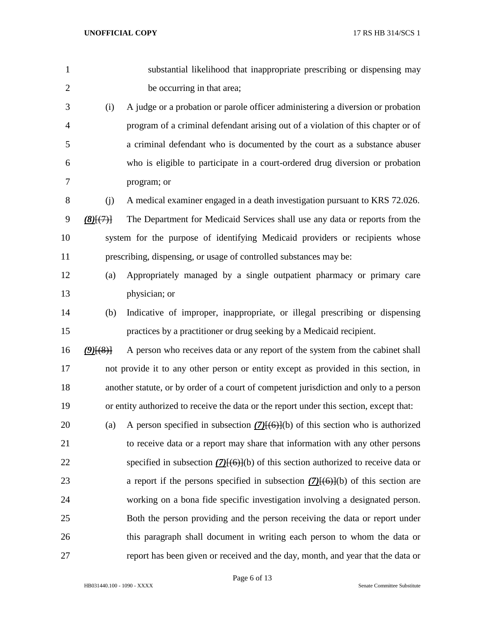| $\mathbf{1}$   |             | substantial likelihood that inappropriate prescribing or dispensing may                 |
|----------------|-------------|-----------------------------------------------------------------------------------------|
| $\overline{2}$ |             | be occurring in that area;                                                              |
| 3              | (i)         | A judge or a probation or parole officer administering a diversion or probation         |
| $\overline{4}$ |             | program of a criminal defendant arising out of a violation of this chapter or of        |
| 5              |             | a criminal defendant who is documented by the court as a substance abuser               |
| 6              |             | who is eligible to participate in a court-ordered drug diversion or probation           |
| 7              |             | program; or                                                                             |
| 8              | (i)         | A medical examiner engaged in a death investigation pursuant to KRS 72.026.             |
| 9              | (8)(7)      | The Department for Medicaid Services shall use any data or reports from the             |
| 10             |             | system for the purpose of identifying Medicaid providers or recipients whose            |
| 11             |             | prescribing, dispensing, or usage of controlled substances may be:                      |
| 12             | (a)         | Appropriately managed by a single outpatient pharmacy or primary care                   |
| 13             |             | physician; or                                                                           |
| 14             | (b)         | Indicative of improper, inappropriate, or illegal prescribing or dispensing             |
| 15             |             | practices by a practitioner or drug seeking by a Medicaid recipient.                    |
| 16             | $(9)$ $(8)$ | A person who receives data or any report of the system from the cabinet shall           |
| 17             |             | not provide it to any other person or entity except as provided in this section, in     |
| 18             |             | another statute, or by order of a court of competent jurisdiction and only to a person  |
| 19             |             | or entity authorized to receive the data or the report under this section, except that: |
| 20             | (a)         | A person specified in subsection $(7)(6)(6)$ of this section who is authorized          |
| 21             |             | to receive data or a report may share that information with any other persons           |
| 22             |             | specified in subsection $(7)(6)(6)$ of this section authorized to receive data or       |
| 23             |             | a report if the persons specified in subsection $(7)$ [ $(6)$ ](b) of this section are  |
| 24             |             | working on a bona fide specific investigation involving a designated person.            |
| 25             |             | Both the person providing and the person receiving the data or report under             |
| 26             |             | this paragraph shall document in writing each person to whom the data or                |
| 27             |             | report has been given or received and the day, month, and year that the data or         |

Page 6 of 13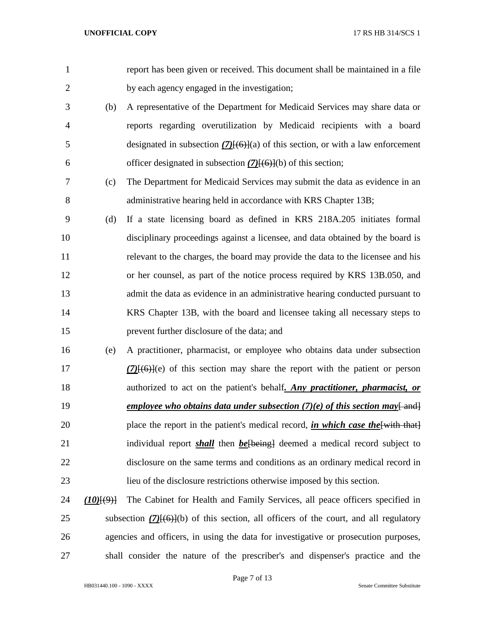|                                         | report has been given or received. This document shall be maintained in a file             |
|-----------------------------------------|--------------------------------------------------------------------------------------------|
|                                         | by each agency engaged in the investigation;                                               |
| (b)                                     | A representative of the Department for Medicaid Services may share data or                 |
|                                         | reports regarding overutilization by Medicaid recipients with a board                      |
|                                         | designated in subsection $(7)(6)$ }(a) of this section, or with a law enforcement          |
|                                         | officer designated in subsection $(7)$ [ $(6)$ ](b) of this section;                       |
| (c)                                     | The Department for Medicaid Services may submit the data as evidence in an                 |
|                                         | administrative hearing held in accordance with KRS Chapter 13B;                            |
| (d)                                     | If a state licensing board as defined in KRS 218A.205 initiates formal                     |
|                                         | disciplinary proceedings against a licensee, and data obtained by the board is             |
|                                         | relevant to the charges, the board may provide the data to the licensee and his            |
|                                         | or her counsel, as part of the notice process required by KRS 13B.050, and                 |
|                                         | admit the data as evidence in an administrative hearing conducted pursuant to              |
|                                         | KRS Chapter 13B, with the board and licensee taking all necessary steps to                 |
|                                         | prevent further disclosure of the data; and                                                |
| (e)                                     | A practitioner, pharmacist, or employee who obtains data under subsection                  |
|                                         | $(7)$ $(6)$ $(6)$ $(6)$ of this section may share the report with the patient or person    |
|                                         | authorized to act on the patient's behalf, <i>Any practitioner</i> , <i>pharmacist, or</i> |
|                                         | employee who obtains data under subsection $(7)(e)$ of this section may and                |
|                                         | place the report in the patient's medical record, <i>in which case the</i> [with that]     |
|                                         | individual report <i>shall</i> then <i>be</i> [being] deemed a medical record subject to   |
|                                         | disclosure on the same terms and conditions as an ordinary medical record in               |
|                                         | lieu of the disclosure restrictions otherwise imposed by this section.                     |
| $(10)$ $\left[\left(9\right)$ $\right]$ | The Cabinet for Health and Family Services, all peace officers specified in                |
|                                         | subsection $(7)(6)(6)$ of this section, all officers of the court, and all regulatory      |
|                                         | agencies and officers, in using the data for investigative or prosecution purposes,        |
|                                         |                                                                                            |

HB031440.100 - 1090 - XXXX Senate Committee Substitute

shall consider the nature of the prescriber's and dispenser's practice and the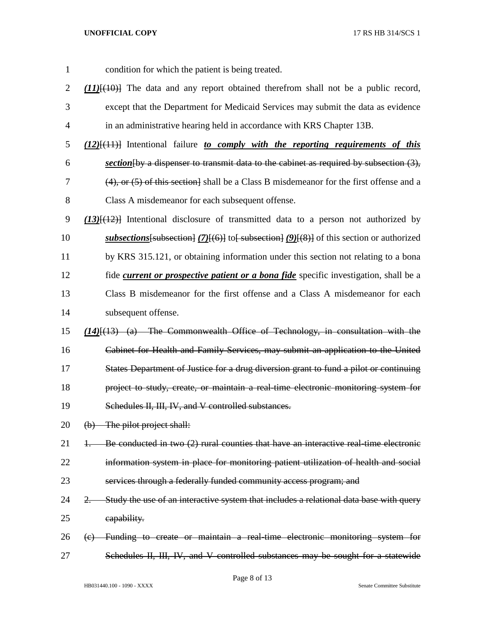- condition for which the patient is being treated. *(11)*[(10)] The data and any report obtained therefrom shall not be a public record, except that the Department for Medicaid Services may submit the data as evidence in an administrative hearing held in accordance with KRS Chapter 13B. *(12)*[(11)] Intentional failure *to comply with the reporting requirements of this section*[by a dispenser to transmit data to the cabinet as required by subsection (3), (4), or (5) of this section] shall be a Class B misdemeanor for the first offense and a Class A misdemeanor for each subsequent offense. *(13)*[(12)] Intentional disclosure of transmitted data to a person not authorized by *subsections* [subsection] (7)[(6)] to [subsection] (9)[(8)] of this section or authorized by KRS 315.121, or obtaining information under this section not relating to a bona fide *current or prospective patient or a bona fide* specific investigation, shall be a Class B misdemeanor for the first offense and a Class A misdemeanor for each subsequent offense. *(14)*[(13) (a) The Commonwealth Office of Technology, in consultation with the Cabinet for Health and Family Services, may submit an application to the United States Department of Justice for a drug diversion grant to fund a pilot or continuing project to study, create, or maintain a real-time electronic monitoring system for Schedules II, III, IV, and V controlled substances. 20 (b) The pilot project shall: 21 1. Be conducted in two (2) rural counties that have an interactive real-time electronic information system in place for monitoring patient utilization of health and social 23 services through a federally funded community access program; and 24 2. Study the use of an interactive system that includes a relational data base with query capability. (c) Funding to create or maintain a real-time electronic monitoring system for
- Schedules II, III, IV, and V controlled substances may be sought for a statewide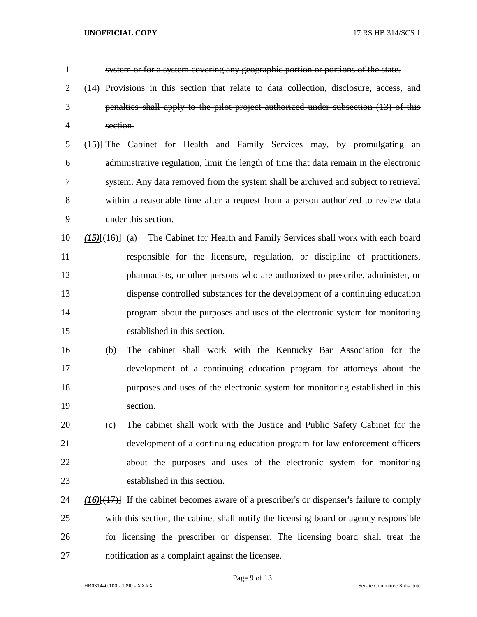| $\mathbf{1}$   |                      | system or for a system covering any geographic portion or portions of the state.                  |
|----------------|----------------------|---------------------------------------------------------------------------------------------------|
| $\overline{2}$ |                      | (14) Provisions in this section that relate to data collection, disclosure, access, and           |
| 3              |                      | penalties shall apply to the pilot project authorized under subsection (13) of this               |
| 4              | section.             |                                                                                                   |
| 5              |                      | (45) The Cabinet for Health and Family Services may, by promulgating an                           |
| 6              |                      | administrative regulation, limit the length of time that data remain in the electronic            |
| 7              |                      | system. Any data removed from the system shall be archived and subject to retrieval               |
| 8              |                      | within a reasonable time after a request from a person authorized to review data                  |
| 9              |                      | under this section.                                                                               |
| 10             | $(15)$ $(16)$ $(16)$ | The Cabinet for Health and Family Services shall work with each board                             |
| 11             |                      | responsible for the licensure, regulation, or discipline of practitioners,                        |
| 12             |                      | pharmacists, or other persons who are authorized to prescribe, administer, or                     |
| 13             |                      | dispense controlled substances for the development of a continuing education                      |
| 14             |                      | program about the purposes and uses of the electronic system for monitoring                       |
| 15             |                      | established in this section.                                                                      |
| 16             | (b)                  | The cabinet shall work with the Kentucky Bar Association for the                                  |
| 17             |                      | development of a continuing education program for attorneys about the                             |
| 18             |                      | purposes and uses of the electronic system for monitoring established in this                     |
| 19             |                      | section.                                                                                          |
| 20             | (c)                  | The cabinet shall work with the Justice and Public Safety Cabinet for the                         |
| 21             |                      | development of a continuing education program for law enforcement officers                        |
| 22             |                      | about the purposes and uses of the electronic system for monitoring                               |
| 23             |                      | established in this section.                                                                      |
| 24             |                      | $(16)$ [ $(17)$ ] If the cabinet becomes aware of a prescriber's or dispenser's failure to comply |
| 25             |                      | with this section, the cabinet shall notify the licensing board or agency responsible             |
| 26             |                      | for licensing the prescriber or dispenser. The licensing board shall treat the                    |
| 27             |                      | notification as a complaint against the licensee.                                                 |

Page 9 of 13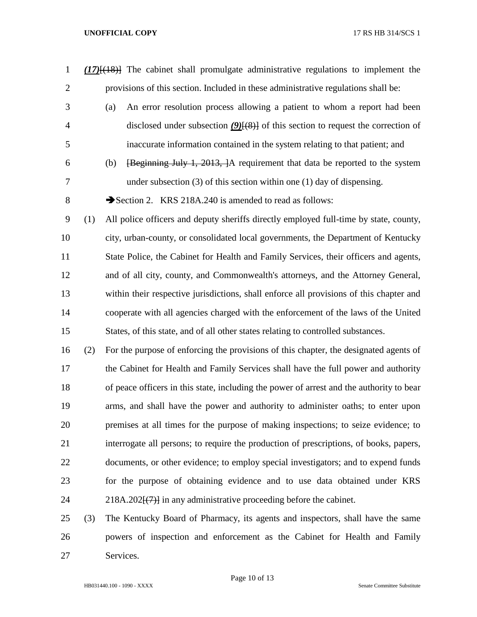- *(17)*[(18)] The cabinet shall promulgate administrative regulations to implement the provisions of this section. Included in these administrative regulations shall be:
- (a) An error resolution process allowing a patient to whom a report had been disclosed under subsection *(9)*[(8)] of this section to request the correction of inaccurate information contained in the system relating to that patient; and
- (b) [Beginning July 1, 2013, ]A requirement that data be reported to the system under subsection (3) of this section within one (1) day of dispensing.
- 8 Section 2. KRS 218A.240 is amended to read as follows:

 (1) All police officers and deputy sheriffs directly employed full-time by state, county, city, urban-county, or consolidated local governments, the Department of Kentucky State Police, the Cabinet for Health and Family Services, their officers and agents, and of all city, county, and Commonwealth's attorneys, and the Attorney General, within their respective jurisdictions, shall enforce all provisions of this chapter and cooperate with all agencies charged with the enforcement of the laws of the United States, of this state, and of all other states relating to controlled substances.

 (2) For the purpose of enforcing the provisions of this chapter, the designated agents of the Cabinet for Health and Family Services shall have the full power and authority of peace officers in this state, including the power of arrest and the authority to bear arms, and shall have the power and authority to administer oaths; to enter upon premises at all times for the purpose of making inspections; to seize evidence; to interrogate all persons; to require the production of prescriptions, of books, papers, documents, or other evidence; to employ special investigators; and to expend funds for the purpose of obtaining evidence and to use data obtained under KRS  $24 \qquad 218A.202\{(7)\}\$  in any administrative proceeding before the cabinet.

# (3) The Kentucky Board of Pharmacy, its agents and inspectors, shall have the same powers of inspection and enforcement as the Cabinet for Health and Family Services.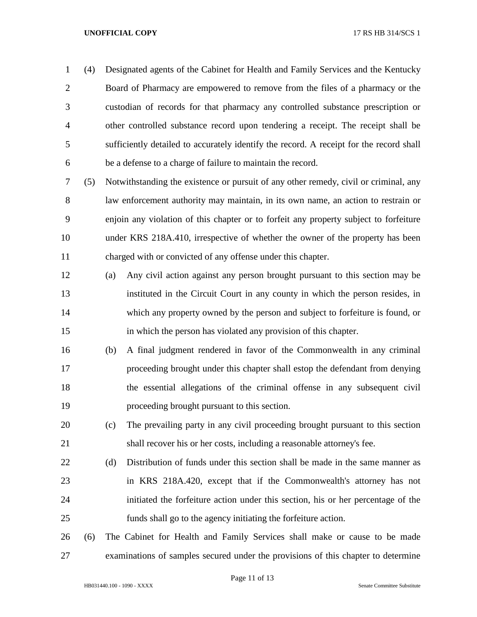(4) Designated agents of the Cabinet for Health and Family Services and the Kentucky Board of Pharmacy are empowered to remove from the files of a pharmacy or the custodian of records for that pharmacy any controlled substance prescription or other controlled substance record upon tendering a receipt. The receipt shall be sufficiently detailed to accurately identify the record. A receipt for the record shall be a defense to a charge of failure to maintain the record.

 (5) Notwithstanding the existence or pursuit of any other remedy, civil or criminal, any law enforcement authority may maintain, in its own name, an action to restrain or enjoin any violation of this chapter or to forfeit any property subject to forfeiture under KRS 218A.410, irrespective of whether the owner of the property has been charged with or convicted of any offense under this chapter.

- (a) Any civil action against any person brought pursuant to this section may be instituted in the Circuit Court in any county in which the person resides, in which any property owned by the person and subject to forfeiture is found, or in which the person has violated any provision of this chapter.
- (b) A final judgment rendered in favor of the Commonwealth in any criminal proceeding brought under this chapter shall estop the defendant from denying the essential allegations of the criminal offense in any subsequent civil proceeding brought pursuant to this section.
- (c) The prevailing party in any civil proceeding brought pursuant to this section shall recover his or her costs, including a reasonable attorney's fee.
- (d) Distribution of funds under this section shall be made in the same manner as in KRS 218A.420, except that if the Commonwealth's attorney has not initiated the forfeiture action under this section, his or her percentage of the funds shall go to the agency initiating the forfeiture action.

 (6) The Cabinet for Health and Family Services shall make or cause to be made examinations of samples secured under the provisions of this chapter to determine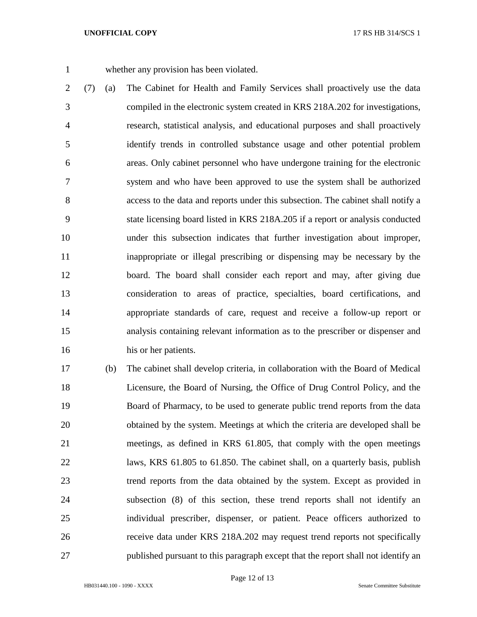whether any provision has been violated.

- (7) (a) The Cabinet for Health and Family Services shall proactively use the data compiled in the electronic system created in KRS 218A.202 for investigations, research, statistical analysis, and educational purposes and shall proactively identify trends in controlled substance usage and other potential problem areas. Only cabinet personnel who have undergone training for the electronic system and who have been approved to use the system shall be authorized access to the data and reports under this subsection. The cabinet shall notify a state licensing board listed in KRS 218A.205 if a report or analysis conducted under this subsection indicates that further investigation about improper, inappropriate or illegal prescribing or dispensing may be necessary by the board. The board shall consider each report and may, after giving due consideration to areas of practice, specialties, board certifications, and appropriate standards of care, request and receive a follow-up report or analysis containing relevant information as to the prescriber or dispenser and his or her patients.
- (b) The cabinet shall develop criteria, in collaboration with the Board of Medical Licensure, the Board of Nursing, the Office of Drug Control Policy, and the Board of Pharmacy, to be used to generate public trend reports from the data obtained by the system. Meetings at which the criteria are developed shall be meetings, as defined in KRS 61.805, that comply with the open meetings laws, KRS 61.805 to 61.850. The cabinet shall, on a quarterly basis, publish trend reports from the data obtained by the system. Except as provided in subsection (8) of this section, these trend reports shall not identify an individual prescriber, dispenser, or patient. Peace officers authorized to receive data under KRS 218A.202 may request trend reports not specifically published pursuant to this paragraph except that the report shall not identify an